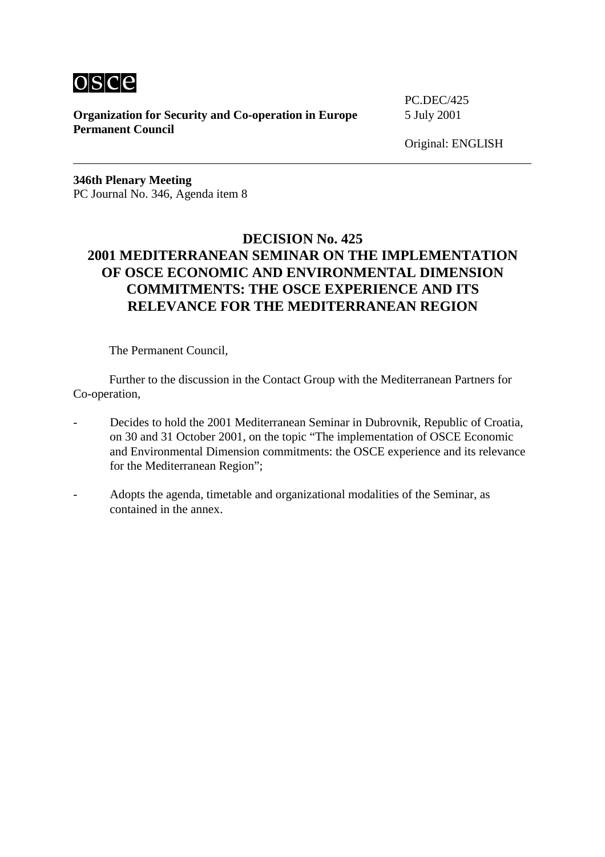

**Organization for Security and Co-operation in Europe** 5 July 2001 **Permanent Council** 

PC.DEC/425

Original: ENGLISH

**346th Plenary Meeting**  PC Journal No. 346, Agenda item 8

## **DECISION No. 425 2001 MEDITERRANEAN SEMINAR ON THE IMPLEMENTATION OF OSCE ECONOMIC AND ENVIRONMENTAL DIMENSION COMMITMENTS: THE OSCE EXPERIENCE AND ITS RELEVANCE FOR THE MEDITERRANEAN REGION**

The Permanent Council,

Further to the discussion in the Contact Group with the Mediterranean Partners for Co-operation,

- Decides to hold the 2001 Mediterranean Seminar in Dubrovnik, Republic of Croatia, on 30 and 31 October 2001, on the topic "The implementation of OSCE Economic and Environmental Dimension commitments: the OSCE experience and its relevance for the Mediterranean Region";
- Adopts the agenda, timetable and organizational modalities of the Seminar, as contained in the annex.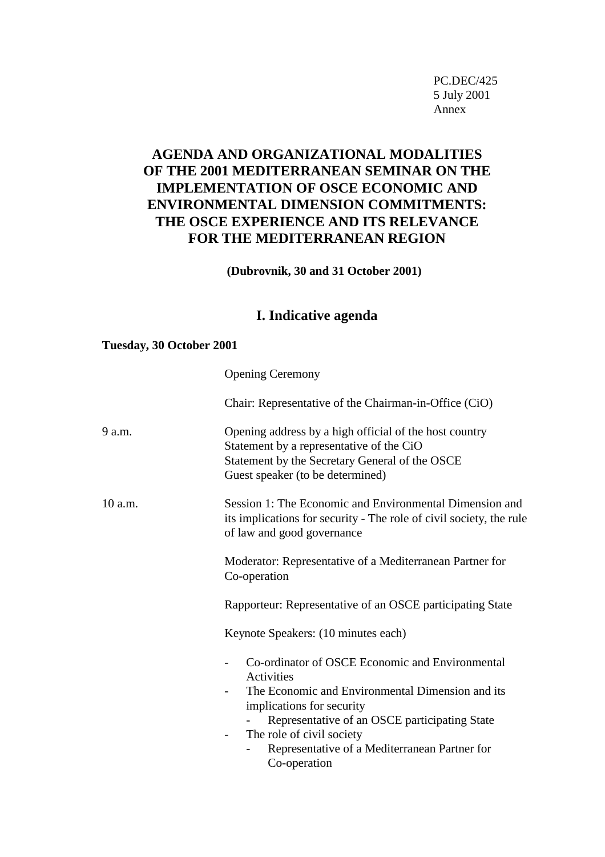PC.DEC/425 5 July 2001 Annex

# **AGENDA AND ORGANIZATIONAL MODALITIES OF THE 2001 MEDITERRANEAN SEMINAR ON THE IMPLEMENTATION OF OSCE ECONOMIC AND ENVIRONMENTAL DIMENSION COMMITMENTS: THE OSCE EXPERIENCE AND ITS RELEVANCE FOR THE MEDITERRANEAN REGION**

**(Dubrovnik, 30 and 31 October 2001)** 

### **I. Indicative agenda**

#### **Tuesday, 30 October 2001**

|           | <b>Opening Ceremony</b>                                                                                                                                                                                                                                  |
|-----------|----------------------------------------------------------------------------------------------------------------------------------------------------------------------------------------------------------------------------------------------------------|
|           | Chair: Representative of the Chairman-in-Office (CiO)                                                                                                                                                                                                    |
| 9 a.m.    | Opening address by a high official of the host country<br>Statement by a representative of the CiO<br>Statement by the Secretary General of the OSCE<br>Guest speaker (to be determined)                                                                 |
| $10$ a.m. | Session 1: The Economic and Environmental Dimension and<br>its implications for security - The role of civil society, the rule<br>of law and good governance                                                                                             |
|           | Moderator: Representative of a Mediterranean Partner for<br>Co-operation                                                                                                                                                                                 |
|           | Rapporteur: Representative of an OSCE participating State                                                                                                                                                                                                |
|           | Keynote Speakers: (10 minutes each)                                                                                                                                                                                                                      |
|           | Co-ordinator of OSCE Economic and Environmental<br>Activities<br>The Economic and Environmental Dimension and its<br>implications for security<br>Representative of an OSCE participating State<br>The role of civil society<br>$\overline{\phantom{0}}$ |
|           | Representative of a Mediterranean Partner for<br>Co-operation                                                                                                                                                                                            |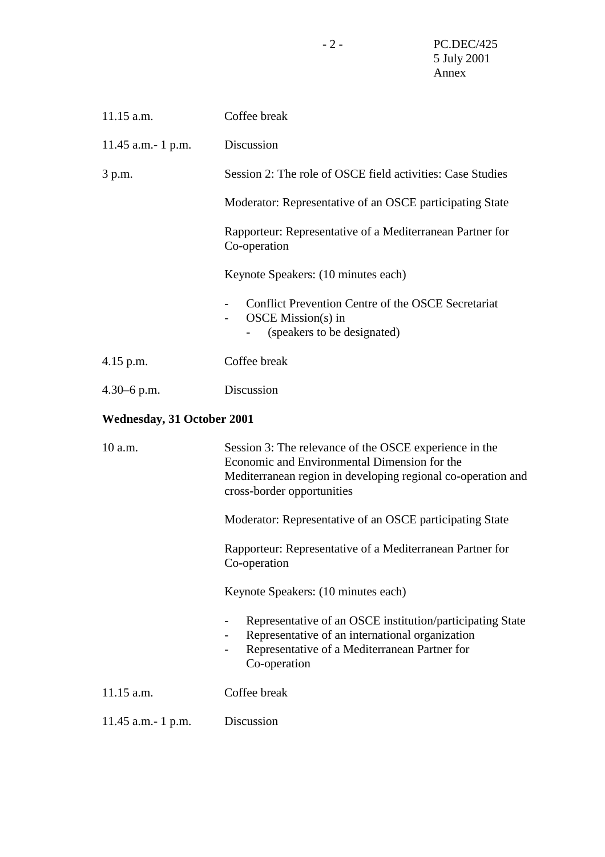| 11.15 a.m.                        | Coffee break                                                                                                                                                                                         |  |
|-----------------------------------|------------------------------------------------------------------------------------------------------------------------------------------------------------------------------------------------------|--|
| 11.45 a.m. - 1 p.m.               | Discussion                                                                                                                                                                                           |  |
| 3 p.m.                            | Session 2: The role of OSCE field activities: Case Studies                                                                                                                                           |  |
|                                   | Moderator: Representative of an OSCE participating State                                                                                                                                             |  |
|                                   | Rapporteur: Representative of a Mediterranean Partner for<br>Co-operation                                                                                                                            |  |
|                                   | Keynote Speakers: (10 minutes each)                                                                                                                                                                  |  |
|                                   | Conflict Prevention Centre of the OSCE Secretariat<br><b>OSCE</b> Mission(s) in<br>(speakers to be designated)                                                                                       |  |
| $4.15$ p.m.                       | Coffee break                                                                                                                                                                                         |  |
| $4.30 - 6$ p.m.                   | Discussion                                                                                                                                                                                           |  |
| <b>Wednesday, 31 October 2001</b> |                                                                                                                                                                                                      |  |
| 10 a.m.                           | Session 3: The relevance of the OSCE experience in the<br>Economic and Environmental Dimension for the<br>Mediterranean region in developing regional co-operation and<br>cross-border opportunities |  |
|                                   | Moderator: Representative of an OSCE participating State                                                                                                                                             |  |
|                                   | Rapporteur: Representative of a Mediterranean Partner for<br>Co-operation                                                                                                                            |  |
|                                   | Keynote Speakers: (10 minutes each)                                                                                                                                                                  |  |
|                                   | Representative of an OSCE institution/participating State<br>Representative of an international organization<br>Representative of a Mediterranean Partner for<br>-<br>Co-operation                   |  |
| 11.15 a.m.                        | Coffee break                                                                                                                                                                                         |  |
| 11.45 a.m. - 1 p.m.               | Discussion                                                                                                                                                                                           |  |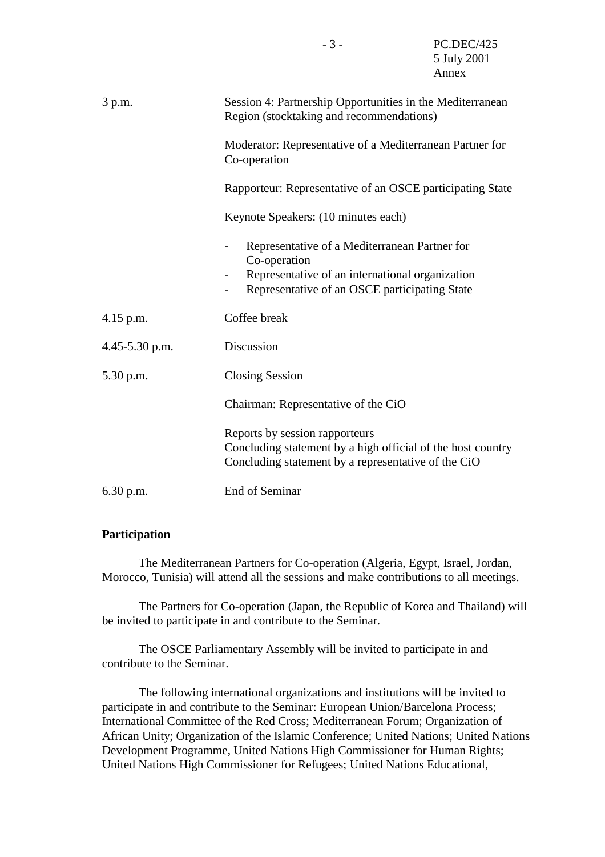| 3 p.m.         | Session 4: Partnership Opportunities in the Mediterranean<br>Region (stocktaking and recommendations)                                                |
|----------------|------------------------------------------------------------------------------------------------------------------------------------------------------|
|                | Moderator: Representative of a Mediterranean Partner for<br>Co-operation                                                                             |
|                | Rapporteur: Representative of an OSCE participating State                                                                                            |
|                | Keynote Speakers: (10 minutes each)                                                                                                                  |
|                | Representative of a Mediterranean Partner for<br>Co-operation                                                                                        |
|                | Representative of an international organization<br>Representative of an OSCE participating State                                                     |
| $4.15$ p.m.    | Coffee break                                                                                                                                         |
| 4.45-5.30 p.m. | Discussion                                                                                                                                           |
| 5.30 p.m.      | <b>Closing Session</b>                                                                                                                               |
|                | Chairman: Representative of the CiO                                                                                                                  |
|                | Reports by session rapporteurs<br>Concluding statement by a high official of the host country<br>Concluding statement by a representative of the CiO |
| $6.30$ p.m.    | End of Seminar                                                                                                                                       |

#### **Participation**

 The Mediterranean Partners for Co-operation (Algeria, Egypt, Israel, Jordan, Morocco, Tunisia) will attend all the sessions and make contributions to all meetings.

 The Partners for Co-operation (Japan, the Republic of Korea and Thailand) will be invited to participate in and contribute to the Seminar.

 The OSCE Parliamentary Assembly will be invited to participate in and contribute to the Seminar.

 The following international organizations and institutions will be invited to participate in and contribute to the Seminar: European Union/Barcelona Process; International Committee of the Red Cross; Mediterranean Forum; Organization of African Unity; Organization of the Islamic Conference; United Nations; United Nations Development Programme, United Nations High Commissioner for Human Rights; United Nations High Commissioner for Refugees; United Nations Educational,